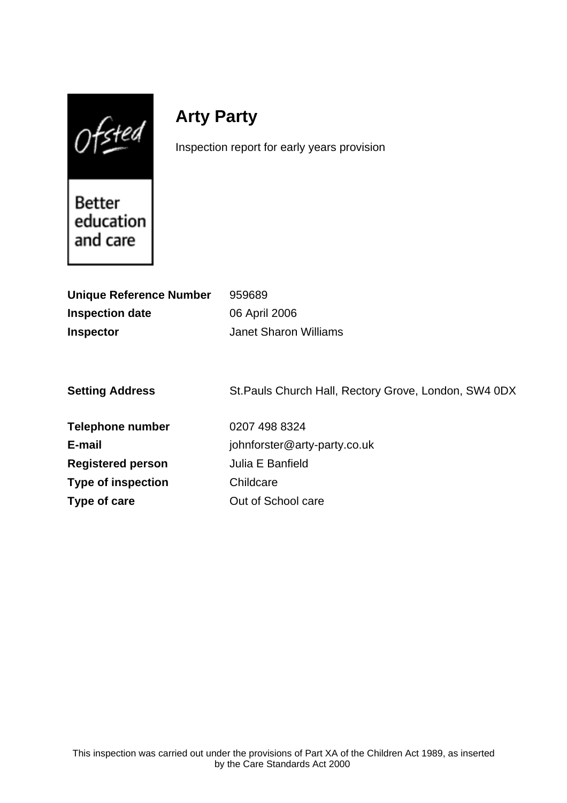$Of$ sted

# **Arty Party**

Inspection report for early years provision

**Better** education and care

| <b>Unique Reference Number</b> | 959689                                                |
|--------------------------------|-------------------------------------------------------|
| <b>Inspection date</b>         | 06 April 2006                                         |
| <b>Inspector</b>               | <b>Janet Sharon Williams</b>                          |
|                                |                                                       |
|                                |                                                       |
| <b>Setting Address</b>         | St. Pauls Church Hall, Rectory Grove, London, SW4 0DX |
|                                |                                                       |
| <b>Telephone number</b>        | 0207 498 8324                                         |
| E-mail                         | johnforster@arty-party.co.uk                          |
| <b>Registered person</b>       | Julia E Banfield                                      |
| <b>Type of inspection</b>      | Childcare                                             |
| Type of care                   | Out of School care                                    |
|                                |                                                       |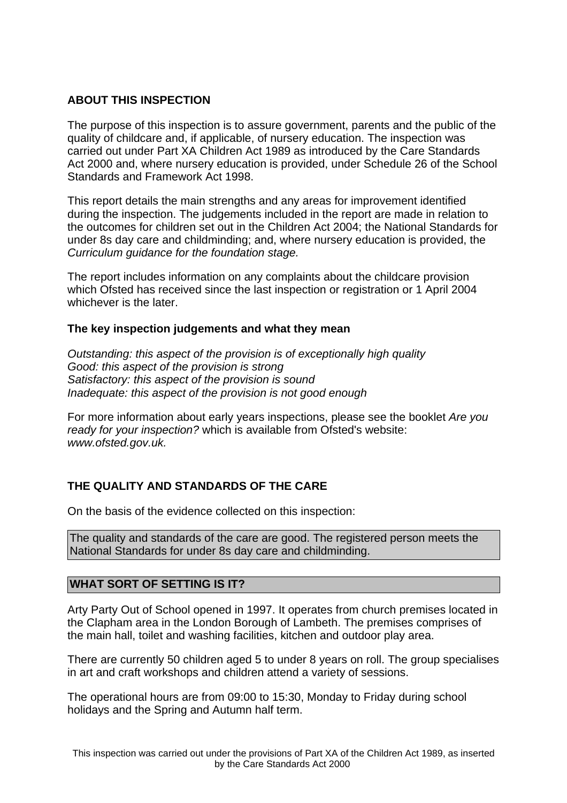## **ABOUT THIS INSPECTION**

The purpose of this inspection is to assure government, parents and the public of the quality of childcare and, if applicable, of nursery education. The inspection was carried out under Part XA Children Act 1989 as introduced by the Care Standards Act 2000 and, where nursery education is provided, under Schedule 26 of the School Standards and Framework Act 1998.

This report details the main strengths and any areas for improvement identified during the inspection. The judgements included in the report are made in relation to the outcomes for children set out in the Children Act 2004; the National Standards for under 8s day care and childminding; and, where nursery education is provided, the Curriculum guidance for the foundation stage.

The report includes information on any complaints about the childcare provision which Ofsted has received since the last inspection or registration or 1 April 2004 whichever is the later.

## **The key inspection judgements and what they mean**

Outstanding: this aspect of the provision is of exceptionally high quality Good: this aspect of the provision is strong Satisfactory: this aspect of the provision is sound Inadequate: this aspect of the provision is not good enough

For more information about early years inspections, please see the booklet Are you ready for your inspection? which is available from Ofsted's website: www.ofsted.gov.uk.

## **THE QUALITY AND STANDARDS OF THE CARE**

On the basis of the evidence collected on this inspection:

The quality and standards of the care are good. The registered person meets the National Standards for under 8s day care and childminding.

## **WHAT SORT OF SETTING IS IT?**

Arty Party Out of School opened in 1997. It operates from church premises located in the Clapham area in the London Borough of Lambeth. The premises comprises of the main hall, toilet and washing facilities, kitchen and outdoor play area.

There are currently 50 children aged 5 to under 8 years on roll. The group specialises in art and craft workshops and children attend a variety of sessions.

The operational hours are from 09:00 to 15:30, Monday to Friday during school holidays and the Spring and Autumn half term.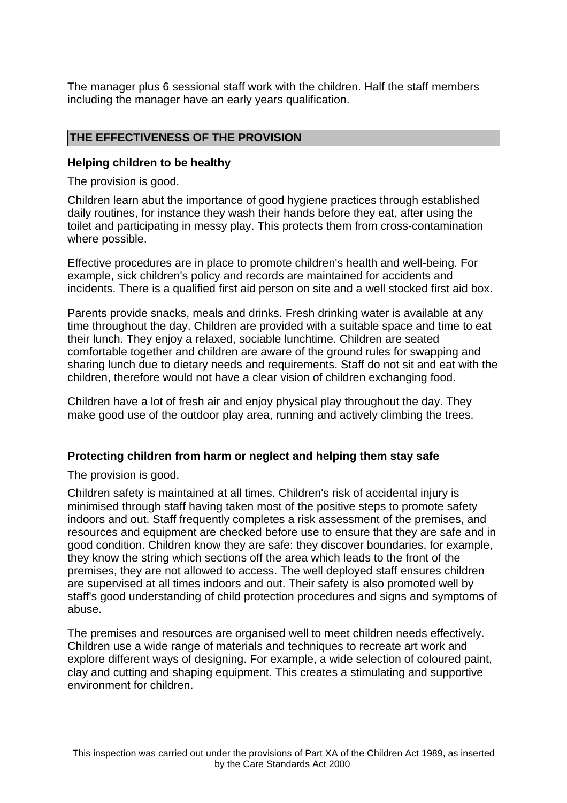The manager plus 6 sessional staff work with the children. Half the staff members including the manager have an early years qualification.

## **THE EFFECTIVENESS OF THE PROVISION**

#### **Helping children to be healthy**

The provision is good.

Children learn abut the importance of good hygiene practices through established daily routines, for instance they wash their hands before they eat, after using the toilet and participating in messy play. This protects them from cross-contamination where possible.

Effective procedures are in place to promote children's health and well-being. For example, sick children's policy and records are maintained for accidents and incidents. There is a qualified first aid person on site and a well stocked first aid box.

Parents provide snacks, meals and drinks. Fresh drinking water is available at any time throughout the day. Children are provided with a suitable space and time to eat their lunch. They enjoy a relaxed, sociable lunchtime. Children are seated comfortable together and children are aware of the ground rules for swapping and sharing lunch due to dietary needs and requirements. Staff do not sit and eat with the children, therefore would not have a clear vision of children exchanging food.

Children have a lot of fresh air and enjoy physical play throughout the day. They make good use of the outdoor play area, running and actively climbing the trees.

## **Protecting children from harm or neglect and helping them stay safe**

The provision is good.

Children safety is maintained at all times. Children's risk of accidental injury is minimised through staff having taken most of the positive steps to promote safety indoors and out. Staff frequently completes a risk assessment of the premises, and resources and equipment are checked before use to ensure that they are safe and in good condition. Children know they are safe: they discover boundaries, for example, they know the string which sections off the area which leads to the front of the premises, they are not allowed to access. The well deployed staff ensures children are supervised at all times indoors and out. Their safety is also promoted well by staff's good understanding of child protection procedures and signs and symptoms of abuse.

The premises and resources are organised well to meet children needs effectively. Children use a wide range of materials and techniques to recreate art work and explore different ways of designing. For example, a wide selection of coloured paint, clay and cutting and shaping equipment. This creates a stimulating and supportive environment for children.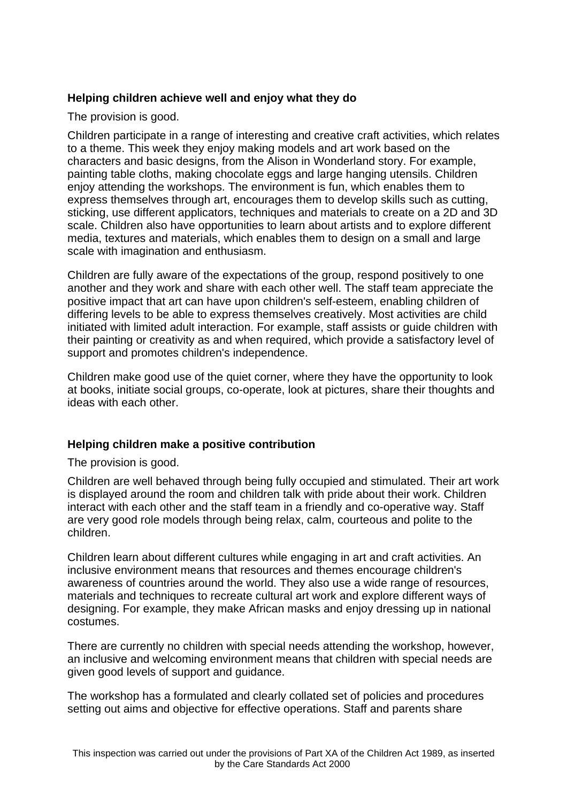## **Helping children achieve well and enjoy what they do**

The provision is good.

Children participate in a range of interesting and creative craft activities, which relates to a theme. This week they enjoy making models and art work based on the characters and basic designs, from the Alison in Wonderland story. For example, painting table cloths, making chocolate eggs and large hanging utensils. Children enjoy attending the workshops. The environment is fun, which enables them to express themselves through art, encourages them to develop skills such as cutting, sticking, use different applicators, techniques and materials to create on a 2D and 3D scale. Children also have opportunities to learn about artists and to explore different media, textures and materials, which enables them to design on a small and large scale with imagination and enthusiasm.

Children are fully aware of the expectations of the group, respond positively to one another and they work and share with each other well. The staff team appreciate the positive impact that art can have upon children's self-esteem, enabling children of differing levels to be able to express themselves creatively. Most activities are child initiated with limited adult interaction. For example, staff assists or guide children with their painting or creativity as and when required, which provide a satisfactory level of support and promotes children's independence.

Children make good use of the quiet corner, where they have the opportunity to look at books, initiate social groups, co-operate, look at pictures, share their thoughts and ideas with each other.

## **Helping children make a positive contribution**

The provision is good.

Children are well behaved through being fully occupied and stimulated. Their art work is displayed around the room and children talk with pride about their work. Children interact with each other and the staff team in a friendly and co-operative way. Staff are very good role models through being relax, calm, courteous and polite to the children.

Children learn about different cultures while engaging in art and craft activities. An inclusive environment means that resources and themes encourage children's awareness of countries around the world. They also use a wide range of resources, materials and techniques to recreate cultural art work and explore different ways of designing. For example, they make African masks and enjoy dressing up in national costumes.

There are currently no children with special needs attending the workshop, however, an inclusive and welcoming environment means that children with special needs are given good levels of support and guidance.

The workshop has a formulated and clearly collated set of policies and procedures setting out aims and objective for effective operations. Staff and parents share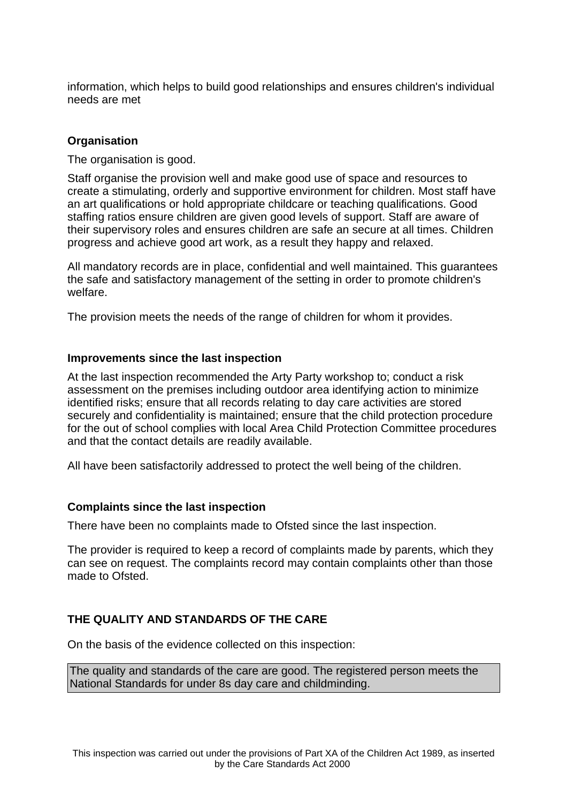information, which helps to build good relationships and ensures children's individual needs are met

## **Organisation**

The organisation is good.

Staff organise the provision well and make good use of space and resources to create a stimulating, orderly and supportive environment for children. Most staff have an art qualifications or hold appropriate childcare or teaching qualifications. Good staffing ratios ensure children are given good levels of support. Staff are aware of their supervisory roles and ensures children are safe an secure at all times. Children progress and achieve good art work, as a result they happy and relaxed.

All mandatory records are in place, confidential and well maintained. This guarantees the safe and satisfactory management of the setting in order to promote children's welfare.

The provision meets the needs of the range of children for whom it provides.

#### **Improvements since the last inspection**

At the last inspection recommended the Arty Party workshop to; conduct a risk assessment on the premises including outdoor area identifying action to minimize identified risks; ensure that all records relating to day care activities are stored securely and confidentiality is maintained; ensure that the child protection procedure for the out of school complies with local Area Child Protection Committee procedures and that the contact details are readily available.

All have been satisfactorily addressed to protect the well being of the children.

## **Complaints since the last inspection**

There have been no complaints made to Ofsted since the last inspection.

The provider is required to keep a record of complaints made by parents, which they can see on request. The complaints record may contain complaints other than those made to Ofsted.

## **THE QUALITY AND STANDARDS OF THE CARE**

On the basis of the evidence collected on this inspection:

The quality and standards of the care are good. The registered person meets the National Standards for under 8s day care and childminding.